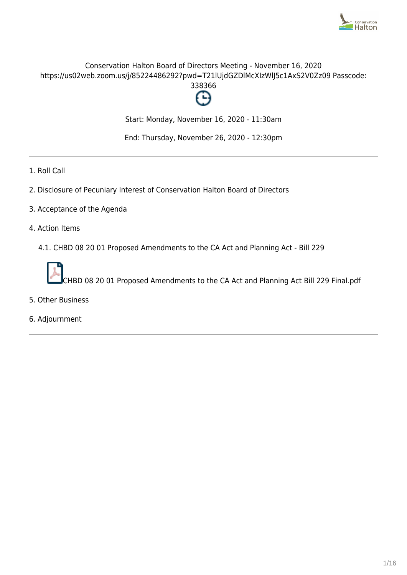

# Conservation Halton Board of Directors Meeting - November 16, 2020 https://us02web.zoom.us/j/85224486292?pwd=T21lUjdGZDlMcXIzWlJ5c1AxS2V0Zz09 Passcode:



Start: Monday, November 16, 2020 - 11:30am

End: Thursday, November 26, 2020 - 12:30pm

- 1. Roll Call
- 2. Disclosure of Pecuniary Interest of Conservation Halton Board of Directors
- 3. Acceptance of the Agenda
- 4. Action Items
	- 4.1. CHBD 08 20 01 Proposed Amendments to the CA Act and Planning Act Bill 229



- 5. Other Business
- 6. Adjournment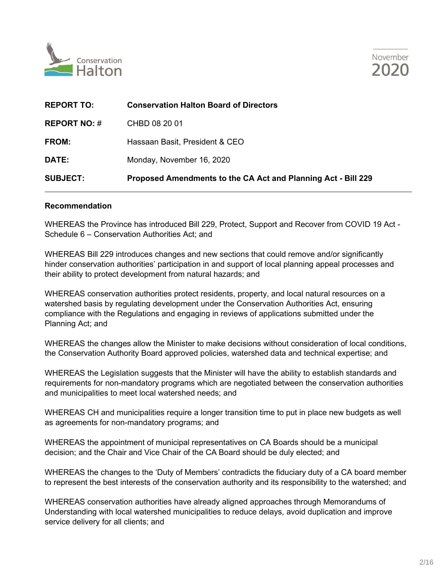



| <b>SUBJECT:</b>     | Proposed Amendments to the CA Act and Planning Act - Bill 229 |
|---------------------|---------------------------------------------------------------|
| <b>DATE:</b>        | Monday, November 16, 2020                                     |
| <b>FROM:</b>        | Hassaan Basit, President & CEO                                |
| <b>REPORT NO: #</b> | CHBD 08 20 01                                                 |
| <b>REPORT TO:</b>   | <b>Conservation Halton Board of Directors</b>                 |

#### **Recommendation**

WHEREAS the Province has introduced Bill 229, Protect, Support and Recover from COVID 19 Act - Schedule 6 – Conservation Authorities Act; and

WHEREAS Bill 229 introduces changes and new sections that could remove and/or significantly hinder conservation authorities' participation in and support of local planning appeal processes and their ability to protect development from natural hazards; and

WHEREAS conservation authorities protect residents, property, and local natural resources on a watershed basis by regulating development under the Conservation Authorities Act, ensuring compliance with the Regulations and engaging in reviews of applications submitted under the Planning Act; and

WHEREAS the changes allow the Minister to make decisions without consideration of local conditions, the Conservation Authority Board approved policies, watershed data and technical expertise; and

WHEREAS the Legislation suggests that the Minister will have the ability to establish standards and requirements for non-mandatory programs which are negotiated between the conservation authorities and municipalities to meet local watershed needs; and

WHEREAS CH and municipalities require a longer transition time to put in place new budgets as well as agreements for non-mandatory programs; and

WHEREAS the appointment of municipal representatives on CA Boards should be a municipal decision; and the Chair and Vice Chair of the CA Board should be duly elected; and

WHEREAS the changes to the 'Duty of Members' contradicts the fiduciary duty of a CA board member to represent the best interests of the conservation authority and its responsibility to the watershed; and

WHEREAS conservation authorities have already aligned approaches through Memorandums of Understanding with local watershed municipalities to reduce delays, avoid duplication and improve service delivery for all clients; and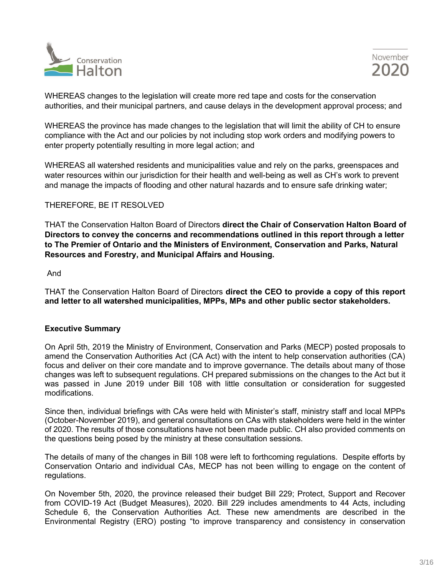



WHEREAS changes to the legislation will create more red tape and costs for the conservation authorities, and their municipal partners, and cause delays in the development approval process; and

WHEREAS the province has made changes to the legislation that will limit the ability of CH to ensure compliance with the Act and our policies by not including stop work orders and modifying powers to enter property potentially resulting in more legal action; and

WHEREAS all watershed residents and municipalities value and rely on the parks, greenspaces and water resources within our jurisdiction for their health and well-being as well as CH's work to prevent and manage the impacts of flooding and other natural hazards and to ensure safe drinking water;

# THEREFORE, BE IT RESOLVED

THAT the Conservation Halton Board of Directors **direct the Chair of Conservation Halton Board of Directors to convey the concerns and recommendations outlined in this report through a letter to The Premier of Ontario and the Ministers of Environment, Conservation and Parks, Natural Resources and Forestry, and Municipal Affairs and Housing.**

#### And

THAT the Conservation Halton Board of Directors **direct the CEO to provide a copy of this report and letter to all watershed municipalities, MPPs, MPs and other public sector stakeholders.**

# **Executive Summary**

On April 5th, 2019 the Ministry of Environment, Conservation and Parks (MECP) posted proposals to amend the Conservation Authorities Act (CA Act) with the intent to help conservation authorities (CA) focus and deliver on their core mandate and to improve governance. The details about many of those changes was left to subsequent regulations. CH prepared submissions on the changes to the Act but it was passed in June 2019 under Bill 108 with little consultation or consideration for suggested modifications.

Since then, individual briefings with CAs were held with Minister's staff, ministry staff and local MPPs (October-November 2019), and general consultations on CAs with stakeholders were held in the winter of 2020. The results of those consultations have not been made public. CH also provided comments on the questions being posed by the ministry at these consultation sessions.

The details of many of the changes in Bill 108 were left to forthcoming regulations. Despite efforts by Conservation Ontario and individual CAs, MECP has not been willing to engage on the content of regulations.

On November 5th, 2020, the province released their budget Bill 229; Protect, Support and Recover from COVID-19 Act (Budget Measures), 2020. Bill 229 includes amendments to 44 Acts, including Schedule 6, the Conservation Authorities Act. These new amendments are described in the Environmental Registry (ERO) posting "to improve transparency and consistency in conservation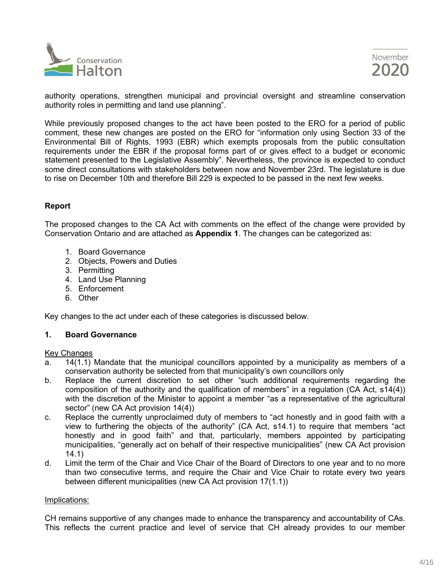



authority operations, strengthen municipal and provincial oversight and streamline conservation authority roles in permitting and land use planning".

While previously proposed changes to the act have been posted to the ERO for a period of public comment, these new changes are posted on the ERO for "information only using Section 33 of the Environmental Bill of Rights, 1993 (EBR) which exempts proposals from the public consultation requirements under the EBR if the proposal forms part of or gives effect to a budget or economic statement presented to the Legislative Assembly". Nevertheless, the province is expected to conduct some direct consultations with stakeholders between now and November 23rd. The legislature is due to rise on December 10th and therefore Bill 229 is expected to be passed in the next few weeks.

# **Report**

The proposed changes to the CA Act with comments on the effect of the change were provided by Conservation Ontario and are attached as **Appendix 1**. The changes can be categorized as:

- 1. Board Governance
- 2. Objects, Powers and Duties
- 3. Permitting
- 4. Land Use Planning
- 5. Enforcement
- 6. Other

Key changes to the act under each of these categories is discussed below.

# **1. Board Governance**

#### Key Changes

- a. 14(1.1) Mandate that the municipal councillors appointed by a municipality as members of a conservation authority be selected from that municipality's own councillors only
- b. Replace the current discretion to set other "such additional requirements regarding the composition of the authority and the qualification of members" in a regulation (CA Act, s14(4)) with the discretion of the Minister to appoint a member "as a representative of the agricultural sector" (new CA Act provision 14(4))
- c. Replace the currently unproclaimed duty of members to "act honestly and in good faith with a view to furthering the objects of the authority" (CA Act, s14.1) to require that members "act honestly and in good faith" and that, particularly, members appointed by participating municipalities, "generally act on behalf of their respective municipalities" (new CA Act provision 14.1)
- d. Limit the term of the Chair and Vice Chair of the Board of Directors to one year and to no more than two consecutive terms, and require the Chair and Vice Chair to rotate every two years between different municipalities (new CA Act provision 17(1.1))

#### Implications:

CH remains supportive of any changes made to enhance the transparency and accountability of CAs. This reflects the current practice and level of service that CH already provides to our member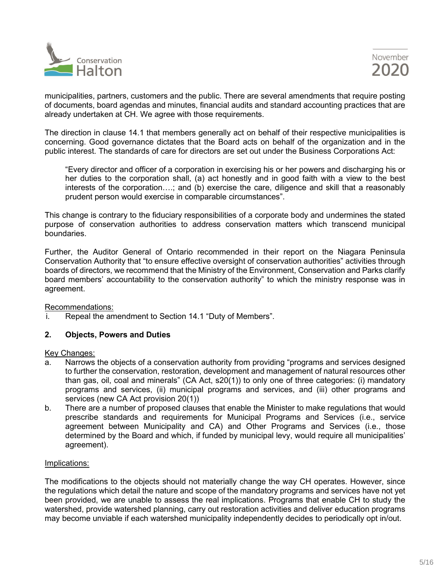

municipalities, partners, customers and the public. There are several amendments that require posting of documents, board agendas and minutes, financial audits and standard accounting practices that are already undertaken at CH. We agree with those requirements.

The direction in clause 14.1 that members generally act on behalf of their respective municipalities is concerning. Good governance dictates that the Board acts on behalf of the organization and in the public interest. The standards of care for directors are set out under the Business Corporations Act:

"Every director and officer of a corporation in exercising his or her powers and discharging his or her duties to the corporation shall, (a) act honestly and in good faith with a view to the best interests of the corporation….; and (b) exercise the care, diligence and skill that a reasonably prudent person would exercise in comparable circumstances".

This change is contrary to the fiduciary responsibilities of a corporate body and undermines the stated purpose of conservation authorities to address conservation matters which transcend municipal boundaries.

Further, the Auditor General of Ontario recommended in their report on the Niagara Peninsula Conservation Authority that "to ensure effective oversight of conservation authorities" activities through boards of directors, we recommend that the Ministry of the Environment, Conservation and Parks clarify board members' accountability to the conservation authority" to which the ministry response was in agreement.

# Recommendations:

i. Repeal the amendment to Section 14.1 "Duty of Members".

# **2. Objects, Powers and Duties**

# Key Changes:

- a. Narrows the objects of a conservation authority from providing "programs and services designed to further the conservation, restoration, development and management of natural resources other than gas, oil, coal and minerals" (CA Act, s20(1)) to only one of three categories: (i) mandatory programs and services, (ii) municipal programs and services, and (iii) other programs and services (new CA Act provision 20(1))
- b. There are a number of proposed clauses that enable the Minister to make regulations that would prescribe standards and requirements for Municipal Programs and Services (i.e., service agreement between Municipality and CA) and Other Programs and Services (i.e., those determined by the Board and which, if funded by municipal levy, would require all municipalities' agreement).

# Implications:

The modifications to the objects should not materially change the way CH operates. However, since the regulations which detail the nature and scope of the mandatory programs and services have not yet been provided, we are unable to assess the real implications. Programs that enable CH to study the watershed, provide watershed planning, carry out restoration activities and deliver education programs may become unviable if each watershed municipality independently decides to periodically opt in/out.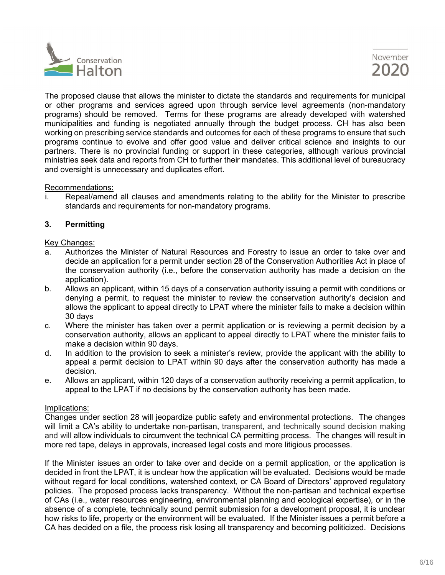



The proposed clause that allows the minister to dictate the standards and requirements for municipal or other programs and services agreed upon through service level agreements (non-mandatory programs) should be removed. Terms for these programs are already developed with watershed municipalities and funding is negotiated annually through the budget process. CH has also been working on prescribing service standards and outcomes for each of these programs to ensure that such programs continue to evolve and offer good value and deliver critical science and insights to our partners. There is no provincial funding or support in these categories, although various provincial ministries seek data and reports from CH to further their mandates. This additional level of bureaucracy and oversight is unnecessary and duplicates effort.

Recommendations:

i. Repeal/amend all clauses and amendments relating to the ability for the Minister to prescribe standards and requirements for non-mandatory programs.

# **3. Permitting**

#### Key Changes:

- a. Authorizes the Minister of Natural Resources and Forestry to issue an order to take over and decide an application for a permit under section 28 of the Conservation Authorities Act in place of the conservation authority (i.e., before the conservation authority has made a decision on the application).
- b. Allows an applicant, within 15 days of a conservation authority issuing a permit with conditions or denying a permit, to request the minister to review the conservation authority's decision and allows the applicant to appeal directly to LPAT where the minister fails to make a decision within 30 days
- c. Where the minister has taken over a permit application or is reviewing a permit decision by a conservation authority, allows an applicant to appeal directly to LPAT where the minister fails to make a decision within 90 days.
- d. In addition to the provision to seek a minister's review, provide the applicant with the ability to appeal a permit decision to LPAT within 90 days after the conservation authority has made a decision.
- e. Allows an applicant, within 120 days of a conservation authority receiving a permit application, to appeal to the LPAT if no decisions by the conservation authority has been made.

# Implications:

Changes under section 28 will jeopardize public safety and environmental protections. The changes will limit a CA's ability to undertake non-partisan, transparent, and technically sound decision making and will allow individuals to circumvent the technical CA permitting process. The changes will result in more red tape, delays in approvals, increased legal costs and more litigious processes.

If the Minister issues an order to take over and decide on a permit application, or the application is decided in front the LPAT, it is unclear how the application will be evaluated. Decisions would be made without regard for local conditions, watershed context, or CA Board of Directors' approved regulatory policies. The proposed process lacks transparency. Without the non-partisan and technical expertise of CAs (i.e., water resources engineering, environmental planning and ecological expertise), or in the absence of a complete, technically sound permit submission for a development proposal, it is unclear how risks to life, property or the environment will be evaluated. If the Minister issues a permit before a CA has decided on a file, the process risk losing all transparency and becoming politicized. Decisions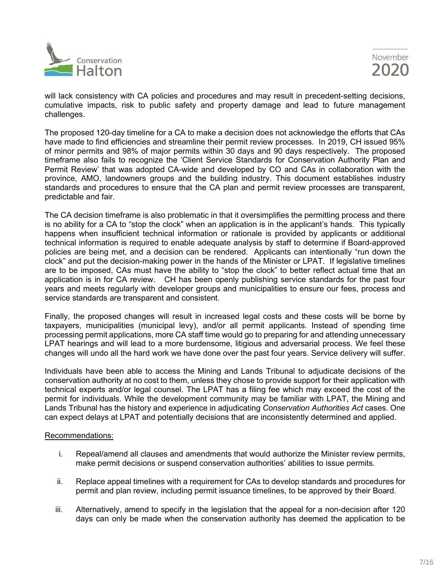

will lack consistency with CA policies and procedures and may result in precedent-setting decisions, cumulative impacts, risk to public safety and property damage and lead to future management challenges.

The proposed 120-day timeline for a CA to make a decision does not acknowledge the efforts that CAs have made to find efficiencies and streamline their permit review processes. In 2019, CH issued 95% of minor permits and 98% of major permits within 30 days and 90 days respectively. The proposed timeframe also fails to recognize the 'Client Service Standards for Conservation Authority Plan and Permit Review' that was adopted CA-wide and developed by CO and CAs in collaboration with the province, AMO, landowners groups and the building industry. This document establishes industry standards and procedures to ensure that the CA plan and permit review processes are transparent, predictable and fair.

The CA decision timeframe is also problematic in that it oversimplifies the permitting process and there is no ability for a CA to "stop the clock" when an application is in the applicant's hands. This typically happens when insufficient technical information or rationale is provided by applicants or additional technical information is required to enable adequate analysis by staff to determine if Board-approved policies are being met, and a decision can be rendered. Applicants can intentionally "run down the clock" and put the decision-making power in the hands of the Minister or LPAT. If legislative timelines are to be imposed, CAs must have the ability to "stop the clock" to better reflect actual time that an application is in for CA review. CH has been openly publishing service standards for the past four years and meets regularly with developer groups and municipalities to ensure our fees, process and service standards are transparent and consistent.

Finally, the proposed changes will result in increased legal costs and these costs will be borne by taxpayers, municipalities (municipal levy), and/or all permit applicants. Instead of spending time processing permit applications, more CA staff time would go to preparing for and attending unnecessary LPAT hearings and will lead to a more burdensome, litigious and adversarial process. We feel these changes will undo all the hard work we have done over the past four years. Service delivery will suffer.

Individuals have been able to access the Mining and Lands Tribunal to adjudicate decisions of the conservation authority at no cost to them, unless they chose to provide support for their application with technical experts and/or legal counsel. The LPAT has a filing fee which may exceed the cost of the permit for individuals. While the development community may be familiar with LPAT, the Mining and Lands Tribunal has the history and experience in adjudicating *Conservation Authorities Act* cases. One can expect delays at LPAT and potentially decisions that are inconsistently determined and applied.

# Recommendations:

- i. Repeal/amend all clauses and amendments that would authorize the Minister review permits, make permit decisions or suspend conservation authorities' abilities to issue permits.
- ii. Replace appeal timelines with a requirement for CAs to develop standards and procedures for permit and plan review, including permit issuance timelines, to be approved by their Board.
- iii. Alternatively, amend to specify in the legislation that the appeal for a non-decision after 120 days can only be made when the conservation authority has deemed the application to be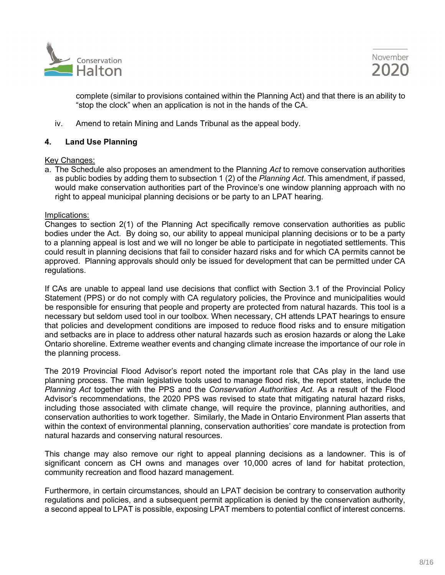



complete (similar to provisions contained within the Planning Act) and that there is an ability to "stop the clock" when an application is not in the hands of the CA.

iv. Amend to retain Mining and Lands Tribunal as the appeal body.

# **4. Land Use Planning**

#### Key Changes:

a. The Schedule also proposes an amendment to the Planning *Act* to remove conservation authorities as public bodies by adding them to subsection 1 (2) of the *Planning Act*. This amendment, if passed, would make conservation authorities part of the Province's one window planning approach with no right to appeal municipal planning decisions or be party to an LPAT hearing.

#### Implications:

Changes to section 2(1) of the Planning Act specifically remove conservation authorities as public bodies under the Act. By doing so, our ability to appeal municipal planning decisions or to be a party to a planning appeal is lost and we will no longer be able to participate in negotiated settlements. This could result in planning decisions that fail to consider hazard risks and for which CA permits cannot be approved. Planning approvals should only be issued for development that can be permitted under CA regulations.

If CAs are unable to appeal land use decisions that conflict with Section 3.1 of the Provincial Policy Statement (PPS) or do not comply with CA regulatory policies, the Province and municipalities would be responsible for ensuring that people and property are protected from natural hazards. This tool is a necessary but seldom used tool in our toolbox. When necessary, CH attends LPAT hearings to ensure that policies and development conditions are imposed to reduce flood risks and to ensure mitigation and setbacks are in place to address other natural hazards such as erosion hazards or along the Lake Ontario shoreline. Extreme weather events and changing climate increase the importance of our role in the planning process.

The 2019 Provincial Flood Advisor's report noted the important role that CAs play in the land use planning process. The main legislative tools used to manage flood risk, the report states, include the *Planning Act* together with the PPS and the *Conservation Authorities Act*. As a result of the Flood Advisor's recommendations, the 2020 PPS was revised to state that mitigating natural hazard risks, including those associated with climate change, will require the province, planning authorities, and conservation authorities to work together. Similarly, the Made in Ontario Environment Plan asserts that within the context of environmental planning, conservation authorities' core mandate is protection from natural hazards and conserving natural resources.

This change may also remove our right to appeal planning decisions as a landowner. This is of significant concern as CH owns and manages over 10,000 acres of land for habitat protection, community recreation and flood hazard management.

Furthermore, in certain circumstances, should an LPAT decision be contrary to conservation authority regulations and policies, and a subsequent permit application is denied by the conservation authority, a second appeal to LPAT is possible, exposing LPAT members to potential conflict of interest concerns.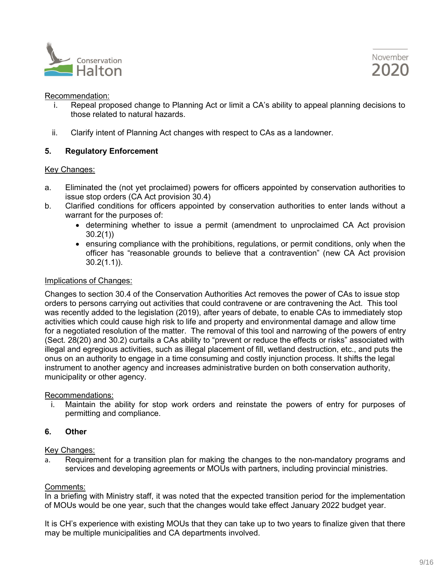



#### Recommendation:

- i. Repeal proposed change to Planning Act or limit a CA's ability to appeal planning decisions to those related to natural hazards.
- ii. Clarify intent of Planning Act changes with respect to CAs as a landowner.

# **5. Regulatory Enforcement**

#### Key Changes:

- a. Eliminated the (not yet proclaimed) powers for officers appointed by conservation authorities to issue stop orders (CA Act provision 30.4)
- b. Clarified conditions for officers appointed by conservation authorities to enter lands without a warrant for the purposes of:
	- determining whether to issue a permit (amendment to unproclaimed CA Act provision 30.2(1))
	- ensuring compliance with the prohibitions, regulations, or permit conditions, only when the officer has "reasonable grounds to believe that a contravention" (new CA Act provision 30.2(1.1)).

# Implications of Changes:

Changes to section 30.4 of the Conservation Authorities Act removes the power of CAs to issue stop orders to persons carrying out activities that could contravene or are contravening the Act. This tool was recently added to the legislation (2019), after years of debate, to enable CAs to immediately stop activities which could cause high risk to life and property and environmental damage and allow time for a negotiated resolution of the matter. The removal of this tool and narrowing of the powers of entry (Sect. 28(20) and 30.2) curtails a CAs ability to "prevent or reduce the effects or risks" associated with illegal and egregious activities, such as illegal placement of fill, wetland destruction, etc., and puts the onus on an authority to engage in a time consuming and costly injunction process. It shifts the legal instrument to another agency and increases administrative burden on both conservation authority, municipality or other agency.

# Recommendations:

i. Maintain the ability for stop work orders and reinstate the powers of entry for purposes of permitting and compliance.

# **6. Other**

#### Key Changes:

a. Requirement for a transition plan for making the changes to the non-mandatory programs and services and developing agreements or MOUs with partners, including provincial ministries.

# Comments:

In a briefing with Ministry staff, it was noted that the expected transition period for the implementation of MOUs would be one year, such that the changes would take effect January 2022 budget year.

It is CH's experience with existing MOUs that they can take up to two years to finalize given that there may be multiple municipalities and CA departments involved.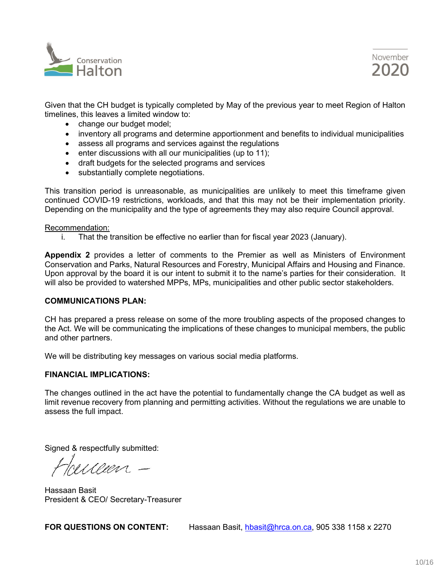



Given that the CH budget is typically completed by May of the previous year to meet Region of Halton timelines, this leaves a limited window to:

- change our budget model;
- inventory all programs and determine apportionment and benefits to individual municipalities
- assess all programs and services against the regulations
- enter discussions with all our municipalities (up to 11);
- draft budgets for the selected programs and services
- substantially complete negotiations.

This transition period is unreasonable, as municipalities are unlikely to meet this timeframe given continued COVID-19 restrictions, workloads, and that this may not be their implementation priority. Depending on the municipality and the type of agreements they may also require Council approval.

#### Recommendation:

i. That the transition be effective no earlier than for fiscal year 2023 (January).

**Appendix 2** provides a letter of comments to the Premier as well as Ministers of Environment Conservation and Parks, Natural Resources and Forestry, Municipal Affairs and Housing and Finance. Upon approval by the board it is our intent to submit it to the name's parties for their consideration. It will also be provided to watershed MPPs, MPs, municipalities and other public sector stakeholders.

#### **COMMUNICATIONS PLAN:**

CH has prepared a press release on some of the more troubling aspects of the proposed changes to the Act. We will be communicating the implications of these changes to municipal members, the public and other partners.

We will be distributing key messages on various social media platforms.

#### **FINANCIAL IMPLICATIONS:**

The changes outlined in the act have the potential to fundamentally change the CA budget as well as limit revenue recovery from planning and permitting activities. Without the regulations we are unable to assess the full impact.

Signed & respectfully submitted:

ruceen -

Hassaan Basit President & CEO/ Secretary-Treasurer

**FOR QUESTIONS ON CONTENT:** Hassaan Basit, [hbasit@hrca.on.ca,](mailto:hbasit@hrca.on.ca) 905 338 1158 x 2270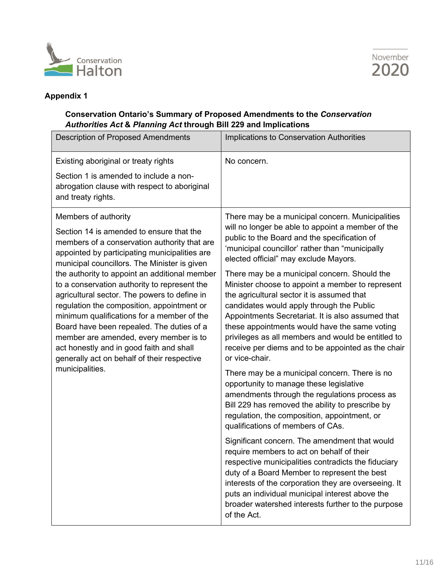



# **Appendix 1**

# **Conservation Ontario's Summary of Proposed Amendments to the** *Conservation Authorities Act* **&** *Planning Act* **through Bill 229 and Implications**

| <b>Description of Proposed Amendments</b>                                                                                                                                                                                                                                                                                                                                                                                                                                                                                                                                                                                                                           | Implications to Conservation Authorities                                                                                                                                                                                                                                                                                                                                                                                                                                                                                                                                                                                                                                                                                                                                                                                                                                                                                                                                                                                                                                                                                                                                                                                                                                                                                                                        |
|---------------------------------------------------------------------------------------------------------------------------------------------------------------------------------------------------------------------------------------------------------------------------------------------------------------------------------------------------------------------------------------------------------------------------------------------------------------------------------------------------------------------------------------------------------------------------------------------------------------------------------------------------------------------|-----------------------------------------------------------------------------------------------------------------------------------------------------------------------------------------------------------------------------------------------------------------------------------------------------------------------------------------------------------------------------------------------------------------------------------------------------------------------------------------------------------------------------------------------------------------------------------------------------------------------------------------------------------------------------------------------------------------------------------------------------------------------------------------------------------------------------------------------------------------------------------------------------------------------------------------------------------------------------------------------------------------------------------------------------------------------------------------------------------------------------------------------------------------------------------------------------------------------------------------------------------------------------------------------------------------------------------------------------------------|
| Existing aboriginal or treaty rights<br>Section 1 is amended to include a non-<br>abrogation clause with respect to aboriginal<br>and treaty rights.                                                                                                                                                                                                                                                                                                                                                                                                                                                                                                                | No concern.                                                                                                                                                                                                                                                                                                                                                                                                                                                                                                                                                                                                                                                                                                                                                                                                                                                                                                                                                                                                                                                                                                                                                                                                                                                                                                                                                     |
| Members of authority<br>Section 14 is amended to ensure that the<br>members of a conservation authority that are<br>appointed by participating municipalities are<br>municipal councillors. The Minister is given<br>the authority to appoint an additional member<br>to a conservation authority to represent the<br>agricultural sector. The powers to define in<br>regulation the composition, appointment or<br>minimum qualifications for a member of the<br>Board have been repealed. The duties of a<br>member are amended, every member is to<br>act honestly and in good faith and shall<br>generally act on behalf of their respective<br>municipalities. | There may be a municipal concern. Municipalities<br>will no longer be able to appoint a member of the<br>public to the Board and the specification of<br>'municipal councillor' rather than "municipally<br>elected official" may exclude Mayors.<br>There may be a municipal concern. Should the<br>Minister choose to appoint a member to represent<br>the agricultural sector it is assumed that<br>candidates would apply through the Public<br>Appointments Secretariat. It is also assumed that<br>these appointments would have the same voting<br>privileges as all members and would be entitled to<br>receive per diems and to be appointed as the chair<br>or vice-chair.<br>There may be a municipal concern. There is no<br>opportunity to manage these legislative<br>amendments through the regulations process as<br>Bill 229 has removed the ability to prescribe by<br>regulation, the composition, appointment, or<br>qualifications of members of CAs.<br>Significant concern. The amendment that would<br>require members to act on behalf of their<br>respective municipalities contradicts the fiduciary<br>duty of a Board Member to represent the best<br>interests of the corporation they are overseeing. It<br>puts an individual municipal interest above the<br>broader watershed interests further to the purpose<br>of the Act. |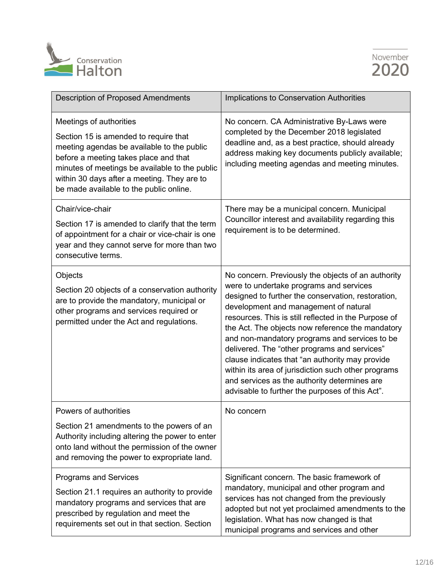



| <b>Description of Proposed Amendments</b>                                                                                                                                                                                                                                                           | Implications to Conservation Authorities                                                                                                                                                                                                                                                                                                                                                                                                                                                                                                                                                                               |
|-----------------------------------------------------------------------------------------------------------------------------------------------------------------------------------------------------------------------------------------------------------------------------------------------------|------------------------------------------------------------------------------------------------------------------------------------------------------------------------------------------------------------------------------------------------------------------------------------------------------------------------------------------------------------------------------------------------------------------------------------------------------------------------------------------------------------------------------------------------------------------------------------------------------------------------|
| Meetings of authorities<br>Section 15 is amended to require that<br>meeting agendas be available to the public<br>before a meeting takes place and that<br>minutes of meetings be available to the public<br>within 30 days after a meeting. They are to<br>be made available to the public online. | No concern. CA Administrative By-Laws were<br>completed by the December 2018 legislated<br>deadline and, as a best practice, should already<br>address making key documents publicly available;<br>including meeting agendas and meeting minutes.                                                                                                                                                                                                                                                                                                                                                                      |
| Chair/vice-chair<br>Section 17 is amended to clarify that the term<br>of appointment for a chair or vice-chair is one<br>year and they cannot serve for more than two<br>consecutive terms.                                                                                                         | There may be a municipal concern. Municipal<br>Councillor interest and availability regarding this<br>requirement is to be determined.                                                                                                                                                                                                                                                                                                                                                                                                                                                                                 |
| Objects<br>Section 20 objects of a conservation authority<br>are to provide the mandatory, municipal or<br>other programs and services required or<br>permitted under the Act and regulations.                                                                                                      | No concern. Previously the objects of an authority<br>were to undertake programs and services<br>designed to further the conservation, restoration,<br>development and management of natural<br>resources. This is still reflected in the Purpose of<br>the Act. The objects now reference the mandatory<br>and non-mandatory programs and services to be<br>delivered. The "other programs and services"<br>clause indicates that "an authority may provide<br>within its area of jurisdiction such other programs<br>and services as the authority determines are<br>advisable to further the purposes of this Act". |
| Powers of authorities<br>Section 21 amendments to the powers of an<br>Authority including altering the power to enter<br>onto land without the permission of the owner<br>and removing the power to expropriate land.                                                                               | No concern                                                                                                                                                                                                                                                                                                                                                                                                                                                                                                                                                                                                             |
| <b>Programs and Services</b><br>Section 21.1 requires an authority to provide<br>mandatory programs and services that are<br>prescribed by regulation and meet the<br>requirements set out in that section. Section                                                                                 | Significant concern. The basic framework of<br>mandatory, municipal and other program and<br>services has not changed from the previously<br>adopted but not yet proclaimed amendments to the<br>legislation. What has now changed is that<br>municipal programs and services and other                                                                                                                                                                                                                                                                                                                                |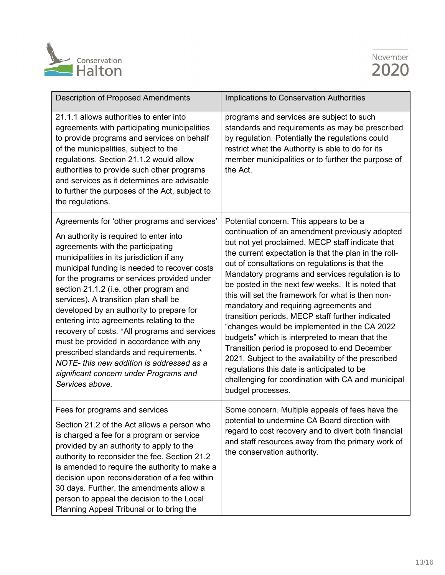



| <b>Description of Proposed Amendments</b>                                                                                                                                                                                                                                                                                                                                                                                                                                                                                                                                                                                                                                                           | Implications to Conservation Authorities                                                                                                                                                                                                                                                                                                                                                                                                                                                                                                                                                                                                                                                                                                                                                                                                                  |
|-----------------------------------------------------------------------------------------------------------------------------------------------------------------------------------------------------------------------------------------------------------------------------------------------------------------------------------------------------------------------------------------------------------------------------------------------------------------------------------------------------------------------------------------------------------------------------------------------------------------------------------------------------------------------------------------------------|-----------------------------------------------------------------------------------------------------------------------------------------------------------------------------------------------------------------------------------------------------------------------------------------------------------------------------------------------------------------------------------------------------------------------------------------------------------------------------------------------------------------------------------------------------------------------------------------------------------------------------------------------------------------------------------------------------------------------------------------------------------------------------------------------------------------------------------------------------------|
| 21.1.1 allows authorities to enter into<br>agreements with participating municipalities<br>to provide programs and services on behalf<br>of the municipalities, subject to the<br>regulations. Section 21.1.2 would allow<br>authorities to provide such other programs<br>and services as it determines are advisable<br>to further the purposes of the Act, subject to<br>the regulations.                                                                                                                                                                                                                                                                                                        | programs and services are subject to such<br>standards and requirements as may be prescribed<br>by regulation. Potentially the regulations could<br>restrict what the Authority is able to do for its<br>member municipalities or to further the purpose of<br>the Act.                                                                                                                                                                                                                                                                                                                                                                                                                                                                                                                                                                                   |
| Agreements for 'other programs and services'<br>An authority is required to enter into<br>agreements with the participating<br>municipalities in its jurisdiction if any<br>municipal funding is needed to recover costs<br>for the programs or services provided under<br>section 21.1.2 (i.e. other program and<br>services). A transition plan shall be<br>developed by an authority to prepare for<br>entering into agreements relating to the<br>recovery of costs. *All programs and services<br>must be provided in accordance with any<br>prescribed standards and requirements. *<br>NOTE-this new addition is addressed as a<br>significant concern under Programs and<br>Services above. | Potential concern. This appears to be a<br>continuation of an amendment previously adopted<br>but not yet proclaimed. MECP staff indicate that<br>the current expectation is that the plan in the roll-<br>out of consultations on regulations is that the<br>Mandatory programs and services regulation is to<br>be posted in the next few weeks. It is noted that<br>this will set the framework for what is then non-<br>mandatory and requiring agreements and<br>transition periods. MECP staff further indicated<br>"changes would be implemented in the CA 2022<br>budgets" which is interpreted to mean that the<br>Transition period is proposed to end December<br>2021. Subject to the availability of the prescribed<br>regulations this date is anticipated to be<br>challenging for coordination with CA and municipal<br>budget processes. |
| Fees for programs and services<br>Section 21.2 of the Act allows a person who<br>is charged a fee for a program or service<br>provided by an authority to apply to the<br>authority to reconsider the fee. Section 21.2<br>is amended to require the authority to make a<br>decision upon reconsideration of a fee within<br>30 days. Further, the amendments allow a<br>person to appeal the decision to the Local<br>Planning Appeal Tribunal or to bring the                                                                                                                                                                                                                                     | Some concern. Multiple appeals of fees have the<br>potential to undermine CA Board direction with<br>regard to cost recovery and to divert both financial<br>and staff resources away from the primary work of<br>the conservation authority.                                                                                                                                                                                                                                                                                                                                                                                                                                                                                                                                                                                                             |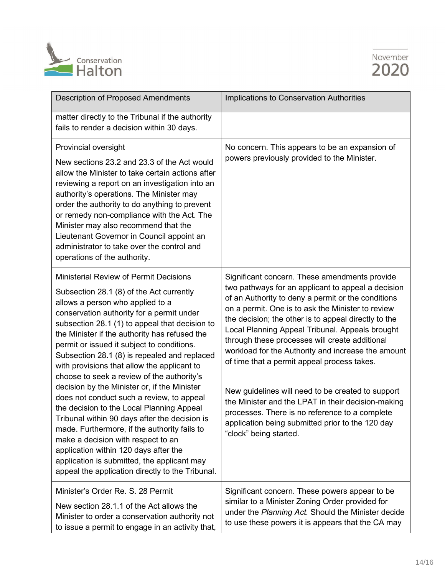



| <b>Description of Proposed Amendments</b>                                                                                                                                                                                                                                                                                                                                                                                                                                                                                                                                                                                                                                                                                                                                                                                                                                                             | Implications to Conservation Authorities                                                                                                                                                                                                                                                                                                                                                                                                                                                                                                                                                                                                                                                                                    |
|-------------------------------------------------------------------------------------------------------------------------------------------------------------------------------------------------------------------------------------------------------------------------------------------------------------------------------------------------------------------------------------------------------------------------------------------------------------------------------------------------------------------------------------------------------------------------------------------------------------------------------------------------------------------------------------------------------------------------------------------------------------------------------------------------------------------------------------------------------------------------------------------------------|-----------------------------------------------------------------------------------------------------------------------------------------------------------------------------------------------------------------------------------------------------------------------------------------------------------------------------------------------------------------------------------------------------------------------------------------------------------------------------------------------------------------------------------------------------------------------------------------------------------------------------------------------------------------------------------------------------------------------------|
| matter directly to the Tribunal if the authority<br>fails to render a decision within 30 days.                                                                                                                                                                                                                                                                                                                                                                                                                                                                                                                                                                                                                                                                                                                                                                                                        |                                                                                                                                                                                                                                                                                                                                                                                                                                                                                                                                                                                                                                                                                                                             |
| Provincial oversight<br>New sections 23.2 and 23.3 of the Act would<br>allow the Minister to take certain actions after<br>reviewing a report on an investigation into an<br>authority's operations. The Minister may<br>order the authority to do anything to prevent<br>or remedy non-compliance with the Act. The<br>Minister may also recommend that the<br>Lieutenant Governor in Council appoint an<br>administrator to take over the control and<br>operations of the authority.                                                                                                                                                                                                                                                                                                                                                                                                               | No concern. This appears to be an expansion of<br>powers previously provided to the Minister.                                                                                                                                                                                                                                                                                                                                                                                                                                                                                                                                                                                                                               |
| <b>Ministerial Review of Permit Decisions</b><br>Subsection 28.1 (8) of the Act currently<br>allows a person who applied to a<br>conservation authority for a permit under<br>subsection 28.1 (1) to appeal that decision to<br>the Minister if the authority has refused the<br>permit or issued it subject to conditions.<br>Subsection 28.1 (8) is repealed and replaced<br>with provisions that allow the applicant to<br>choose to seek a review of the authority's<br>decision by the Minister or, if the Minister<br>does not conduct such a review, to appeal<br>the decision to the Local Planning Appeal<br>Tribunal within 90 days after the decision is<br>made. Furthermore, if the authority fails to<br>make a decision with respect to an<br>application within 120 days after the<br>application is submitted, the applicant may<br>appeal the application directly to the Tribunal. | Significant concern. These amendments provide<br>two pathways for an applicant to appeal a decision<br>of an Authority to deny a permit or the conditions<br>on a permit. One is to ask the Minister to review<br>the decision; the other is to appeal directly to the<br>Local Planning Appeal Tribunal. Appeals brought<br>through these processes will create additional<br>workload for the Authority and increase the amount<br>of time that a permit appeal process takes.<br>New guidelines will need to be created to support<br>the Minister and the LPAT in their decision-making<br>processes. There is no reference to a complete<br>application being submitted prior to the 120 day<br>"clock" being started. |
| Minister's Order Re. S. 28 Permit<br>New section 28.1.1 of the Act allows the<br>Minister to order a conservation authority not<br>to issue a permit to engage in an activity that,                                                                                                                                                                                                                                                                                                                                                                                                                                                                                                                                                                                                                                                                                                                   | Significant concern. These powers appear to be<br>similar to a Minister Zoning Order provided for<br>under the Planning Act. Should the Minister decide<br>to use these powers it is appears that the CA may                                                                                                                                                                                                                                                                                                                                                                                                                                                                                                                |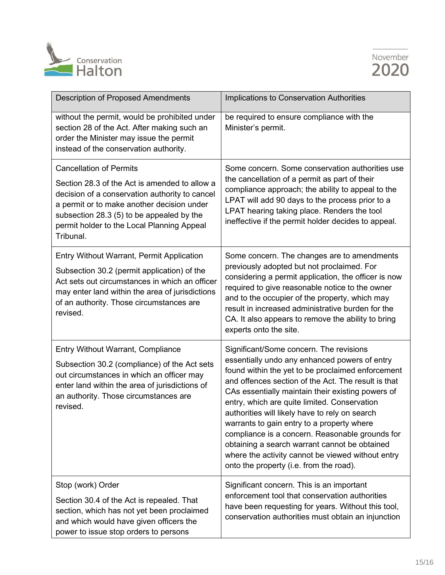



| <b>Description of Proposed Amendments</b>                                                                                                                                                                                                                                               | Implications to Conservation Authorities                                                                                                                                                                                                                                                                                                                                                                                                                                                                                                                                                                      |
|-----------------------------------------------------------------------------------------------------------------------------------------------------------------------------------------------------------------------------------------------------------------------------------------|---------------------------------------------------------------------------------------------------------------------------------------------------------------------------------------------------------------------------------------------------------------------------------------------------------------------------------------------------------------------------------------------------------------------------------------------------------------------------------------------------------------------------------------------------------------------------------------------------------------|
| without the permit, would be prohibited under<br>section 28 of the Act. After making such an<br>order the Minister may issue the permit<br>instead of the conservation authority.                                                                                                       | be required to ensure compliance with the<br>Minister's permit.                                                                                                                                                                                                                                                                                                                                                                                                                                                                                                                                               |
| <b>Cancellation of Permits</b><br>Section 28.3 of the Act is amended to allow a<br>decision of a conservation authority to cancel<br>a permit or to make another decision under<br>subsection 28.3 (5) to be appealed by the<br>permit holder to the Local Planning Appeal<br>Tribunal. | Some concern. Some conservation authorities use<br>the cancellation of a permit as part of their<br>compliance approach; the ability to appeal to the<br>LPAT will add 90 days to the process prior to a<br>LPAT hearing taking place. Renders the tool<br>ineffective if the permit holder decides to appeal.                                                                                                                                                                                                                                                                                                |
| <b>Entry Without Warrant, Permit Application</b><br>Subsection 30.2 (permit application) of the<br>Act sets out circumstances in which an officer<br>may enter land within the area of jurisdictions<br>of an authority. Those circumstances are<br>revised.                            | Some concern. The changes are to amendments<br>previously adopted but not proclaimed. For<br>considering a permit application, the officer is now<br>required to give reasonable notice to the owner<br>and to the occupier of the property, which may<br>result in increased administrative burden for the<br>CA. It also appears to remove the ability to bring<br>experts onto the site.                                                                                                                                                                                                                   |
| Entry Without Warrant, Compliance<br>Subsection 30.2 (compliance) of the Act sets<br>out circumstances in which an officer may<br>enter land within the area of jurisdictions of<br>an authority. Those circumstances are<br>revised.                                                   | Significant/Some concern. The revisions<br>essentially undo any enhanced powers of entry<br>found within the yet to be proclaimed enforcement<br>and offences section of the Act. The result is that<br>CAs essentially maintain their existing powers of<br>entry, which are quite limited. Conservation<br>authorities will likely have to rely on search<br>warrants to gain entry to a property where<br>compliance is a concern. Reasonable grounds for<br>obtaining a search warrant cannot be obtained<br>where the activity cannot be viewed without entry<br>onto the property (i.e. from the road). |
| Stop (work) Order<br>Section 30.4 of the Act is repealed. That<br>section, which has not yet been proclaimed<br>and which would have given officers the<br>power to issue stop orders to persons                                                                                        | Significant concern. This is an important<br>enforcement tool that conservation authorities<br>have been requesting for years. Without this tool,<br>conservation authorities must obtain an injunction                                                                                                                                                                                                                                                                                                                                                                                                       |